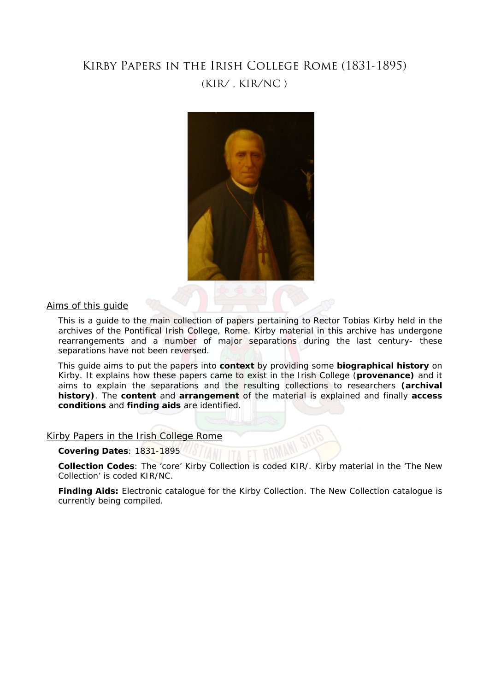# Kirby Papers in the Irish College Rome (1831-1895) (KIR/ , KIR/NC )



Aims of this guide

This is a guide to the main collection of papers pertaining to Rector Tobias Kirby held in the archives of the Pontifical Irish College, Rome. Kirby material in this archive has undergone rearrangements and a number of major separations during the last century- these separations have not been reversed.

This guide aims to put the papers into **context** by providing some **biographical history** on Kirby. It explains how these papers came to exist in the Irish College (**provenance)** and it aims to explain the separations and the resulting collections to researchers **(archival history)**. The **content** and **arrangement** of the material is explained and finally **access conditions** and **finding aids** are identified.

Kirby Papers in the Irish College Rome

**Covering Dates**: 1831-1895

**Collection Codes**: The 'core' Kirby Collection is coded KIR/. Kirby material in the 'The New Collection' is coded KIR/NC.

**Finding Aids:** Electronic catalogue for the Kirby Collection. The New Collection catalogue is currently being compiled.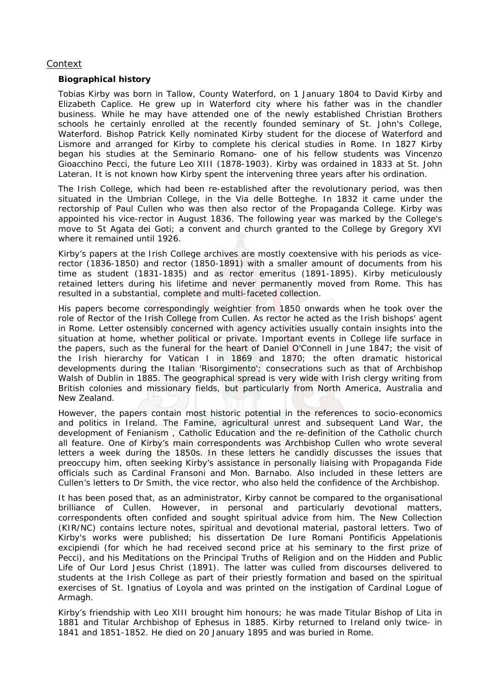# Context

## **Biographical history**

Tobias Kirby was born in Tallow, County Waterford, on 1 January 1804 to David Kirby and Elizabeth Caplice. He grew up in Waterford city where his father was in the chandler business. While he may have attended one of the newly established Christian Brothers schools he certainly enrolled at the recently founded seminary of St. John's College, Waterford. Bishop Patrick Kelly nominated Kirby student for the diocese of Waterford and Lismore and arranged for Kirby to complete his clerical studies in Rome. In 1827 Kirby began his studies at the Seminario Romano- one of his fellow students was Vincenzo Gioacchino Pecci, the future Leo XIII (1878-1903). Kirby was ordained in 1833 at St. John Lateran. It is not known how Kirby spent the intervening three years after his ordination.

The Irish College, which had been re-established after the revolutionary period, was then situated in the Umbrian College, in the Via delle Botteghe. In 1832 it came under the rectorship of Paul Cullen who was then also rector of the Propaganda College. Kirby was appointed his vice-rector in August 1836. The following year was marked by the College's move to St Agata dei Goti; a convent and church granted to the College by Gregory XVI where it remained until 1926.

Kirby's papers at the Irish College archives are mostly coextensive with his periods as vicerector (1836-1850) and rector (1850-1891) with a smaller amount of documents from his time as student (1831-1835) and as rector emeritus (1891-1895). Kirby meticulously retained letters during his lifetime and never permanently moved from Rome. This has resulted in a substantial, complete and multi-faceted collection.

His papers become correspondingly weightier from 1850 onwards when he took over the role of Rector of the Irish College from Cullen. As rector he acted as the Irish bishops' agent in Rome. Letter ostensibly concerned with agency activities usually contain insights into the situation at home, whether political or private. Important events in College life surface in the papers, such as the funeral for the heart of Daniel O'Connell in June 1847; the visit of the Irish hierarchy for Vatican I in 1869 and 1870; the often dramatic historical developments during the Italian 'Risorgimento'; consecrations such as that of Archbishop Walsh of Dublin in 1885. The geographical spread is very wide with Irish clergy writing from British colonies and missionary fields, but particularly from North America, Australia and New Zealand.

However, the papers contain most historic potential in the references to socio-economics and politics in Ireland. The Famine, agricultural unrest and subsequent Land War, the development of Fenianism , Catholic Education and the re-definition of the Catholic church all feature. One of Kirby's main correspondents was Archbishop Cullen who wrote several letters a week during the 1850s. In these letters he candidly discusses the issues that preoccupy him, often seeking Kirby's assistance in personally liaising with Propaganda Fide officials such as Cardinal Fransoni and Mon. Barnabo. Also included in these letters are Cullen's letters to Dr Smith, the vice rector, who also held the confidence of the Archbishop.

It has been posed that, as an administrator, Kirby cannot be compared to the organisational brilliance of Cullen. However, in personal and particularly devotional matters, correspondents often confided and sought spiritual advice from him. The New Collection (KIR/NC) contains lecture notes, spiritual and devotional material, pastoral letters. Two of Kirby's works were published; his dissertation De Iure Romani Pontificis Appelationis excipiendi (for which he had received second price at his seminary to the first prize of Pecci), and his Meditations on the Principal Truths of Religion and on the Hidden and Public Life of Our Lord Jesus Christ (1891). The latter was culled from discourses delivered to students at the Irish College as part of their priestly formation and based on the spiritual exercises of St. Ignatius of Loyola and was printed on the instigation of Cardinal Logue of Armagh.

Kirby's friendship with Leo XIII brought him honours; he was made Titular Bishop of Lita in 1881 and Titular Archbishop of Ephesus in 1885. Kirby returned to Ireland only twice- in 1841 and 1851-1852. He died on 20 January 1895 and was buried in Rome.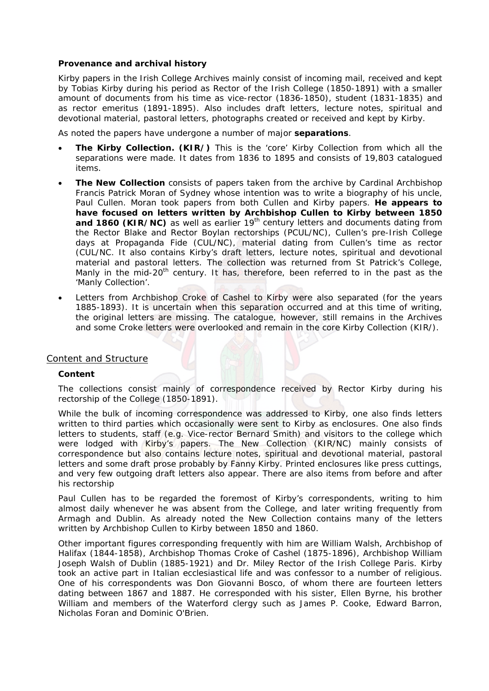# **Provenance and archival history**

Kirby papers in the Irish College Archives mainly consist of incoming mail, received and kept by Tobias Kirby during his period as Rector of the Irish College (1850-1891) with a smaller amount of documents from his time as vice-rector (1836-1850), student (1831-1835) and as rector emeritus (1891-1895). Also includes draft letters, lecture notes, spiritual and devotional material, pastoral letters, photographs created or received and kept by Kirby.

As noted the papers have undergone a number of major **separations**.

- **The Kirby Collection. (KIR/)** This is the 'core' Kirby Collection from which all the separations were made. It dates from 1836 to 1895 and consists of 19,803 catalogued items.
- **The New Collection** consists of papers taken from the archive by Cardinal Archbishop Francis Patrick Moran of Sydney whose intention was to write a biography of his uncle, Paul Cullen. Moran took papers from both Cullen and Kirby papers. **He appears to have focused on letters written by Archbishop Cullen to Kirby between 1850**  and 1860 (KIR/NC) as well as earlier 19<sup>th</sup> century letters and documents dating from the Rector Blake and Rector Boylan rectorships (PCUL/NC), Cullen's pre-Irish College days at Propaganda Fide (CUL/NC), material dating from Cullen's time as rector (CUL/NC. It also contains Kirby's draft letters, lecture notes, spiritual and devotional material and pastoral letters. The collection was returned from St Patrick's College, Manly in the mid-20<sup>th</sup> century. It has, therefore, been referred to in the past as the 'Manly Collection'.
- Letters from Archbishop Croke of Cashel to Kirby were also separated (for the years 1885-1893). It is uncertain when this separation occurred and at this time of writing, the original letters are missing. The catalogue, however, still remains in the Archives and some Croke letters were overlooked and remain in the core Kirby Collection (KIR/).

# Content and Structure

# **Content**

The collections consist mainly of correspondence received by Rector Kirby during his rectorship of the College (1850-1891).

While the bulk of incoming correspondence was addressed to Kirby, one also finds letters written to third parties which occasionally were sent to Kirby as enclosures. One also finds letters to students, staff (e.g. Vice-rector Bernard Smith) and visitors to the college which were lodged with Kirby's papers. The New Collection (KIR/NC) mainly consists of correspondence but also contains lecture notes, spiritual and devotional material, pastoral letters and some draft prose probably by Fanny Kirby. Printed enclosures like press cuttings, and very few outgoing draft letters also appear. There are also items from before and after his rectorship

Paul Cullen has to be regarded the foremost of Kirby's correspondents, writing to him almost daily whenever he was absent from the College, and later writing frequently from Armagh and Dublin. As already noted the New Collection contains many of the letters written by Archbishop Cullen to Kirby between 1850 and 1860.

Other important figures corresponding frequently with him are William Walsh, Archbishop of Halifax (1844-1858), Archbishop Thomas Croke of Cashel (1875-1896), Archbishop William Joseph Walsh of Dublin (1885-1921) and Dr. Miley Rector of the Irish College Paris. Kirby took an active part in Italian ecclesiastical life and was confessor to a number of religious. One of his correspondents was Don Giovanni Bosco, of whom there are fourteen letters dating between 1867 and 1887. He corresponded with his sister, Ellen Byrne, his brother William and members of the Waterford clergy such as James P. Cooke, Edward Barron, Nicholas Foran and Dominic O'Brien.